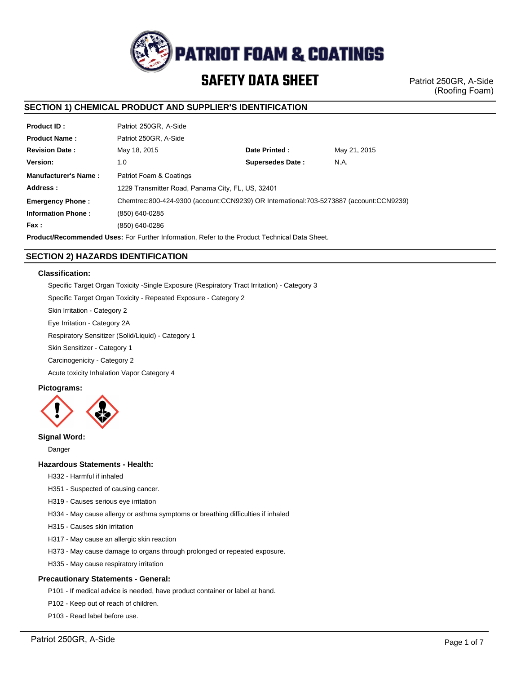

Patriot 250GR, A-Side (Roofing Foam)

# **SECTION 1) CHEMICAL PRODUCT AND SUPPLIER'S IDENTIFICATION**

| <b>Product ID:</b>          | Patriot 250GR, A-Side                                                                  |                         |              |  |
|-----------------------------|----------------------------------------------------------------------------------------|-------------------------|--------------|--|
| <b>Product Name:</b>        | Patriot 250GR, A-Side                                                                  |                         |              |  |
| <b>Revision Date:</b>       | May 18, 2015                                                                           | Date Printed:           | May 21, 2015 |  |
| Version:                    | 1.0                                                                                    | <b>Supersedes Date:</b> | N.A.         |  |
| <b>Manufacturer's Name:</b> | Patriot Foam & Coatings                                                                |                         |              |  |
| Address:                    | 1229 Transmitter Road, Panama City, FL, US, 32401                                      |                         |              |  |
| <b>Emergency Phone:</b>     | Chemtrec:800-424-9300 (account:CCN9239) OR International:703-5273887 (account:CCN9239) |                         |              |  |
| <b>Information Phone:</b>   | (850) 640-0285                                                                         |                         |              |  |
| Fax:                        | (850) 640-0286                                                                         |                         |              |  |
|                             |                                                                                        |                         |              |  |

**Product/Recommended Uses:** For Further Information, Refer to the Product Technical Data Sheet.

# **SECTION 2) HAZARDS IDENTIFICATION**

## **Classification:**

Specific Target Organ Toxicity -Single Exposure (Respiratory Tract Irritation) - Category 3 Specific Target Organ Toxicity - Repeated Exposure - Category 2 Skin Irritation - Category 2

Eye Irritation - Category 2A

Respiratory Sensitizer (Solid/Liquid) - Category 1

Skin Sensitizer - Category 1

Carcinogenicity - Category 2

Acute toxicity Inhalation Vapor Category 4

## **Pictograms:**



# **Signal Word:**

Danger

# **Hazardous Statements - Health:**

H332 - Harmful if inhaled

- H351 Suspected of causing cancer.
- H319 Causes serious eye irritation
- H334 May cause allergy or asthma symptoms or breathing difficulties if inhaled
- H315 Causes skin irritation
- H317 May cause an allergic skin reaction
- H373 May cause damage to organs through prolonged or repeated exposure.
- H335 May cause respiratory irritation

## **Precautionary Statements - General:**

P101 - If medical advice is needed, have product container or label at hand.

- P102 Keep out of reach of children.
- P103 Read label before use.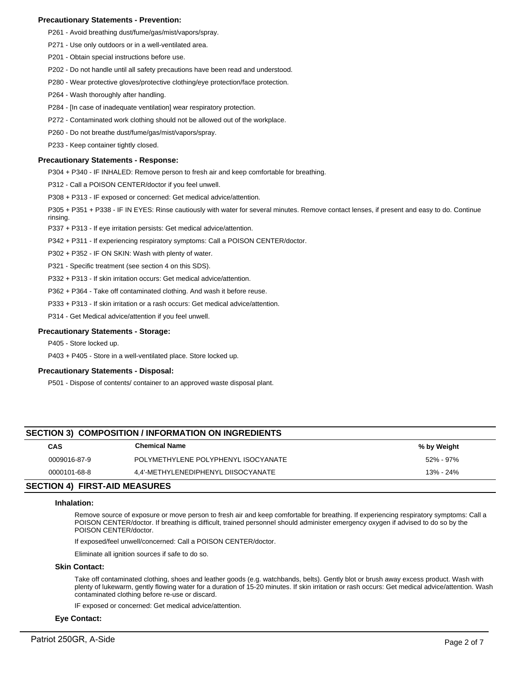## **Precautionary Statements - Prevention:**

- P261 Avoid breathing dust/fume/gas/mist/vapors/spray.
- P271 Use only outdoors or in a well-ventilated area.
- P201 Obtain special instructions before use.
- P202 Do not handle until all safety precautions have been read and understood.
- P280 Wear protective gloves/protective clothing/eye protection/face protection.
- P264 Wash thoroughly after handling.
- P284 [In case of inadequate ventilation] wear respiratory protection.
- P272 Contaminated work clothing should not be allowed out of the workplace.
- P260 Do not breathe dust/fume/gas/mist/vapors/spray.
- P233 Keep container tightly closed.

#### **Precautionary Statements - Response:**

P304 + P340 - IF INHALED: Remove person to fresh air and keep comfortable for breathing.

P312 - Call a POISON CENTER/doctor if you feel unwell.

P308 + P313 - IF exposed or concerned: Get medical advice/attention.

P305 + P351 + P338 - IF IN EYES: Rinse cautiously with water for several minutes. Remove contact lenses, if present and easy to do. Continue rinsing.

P337 + P313 - If eye irritation persists: Get medical advice/attention.

P342 + P311 - If experiencing respiratory symptoms: Call a POISON CENTER/doctor.

P302 + P352 - IF ON SKIN: Wash with plenty of water.

P321 - Specific treatment (see section 4 on this SDS).

P332 + P313 - If skin irritation occurs: Get medical advice/attention.

P362 + P364 - Take off contaminated clothing. And wash it before reuse.

P333 + P313 - If skin irritation or a rash occurs: Get medical advice/attention.

P314 - Get Medical advice/attention if you feel unwell.

#### **Precautionary Statements - Storage:**

P405 - Store locked up.

P403 + P405 - Store in a well-ventilated place. Store locked up.

#### **Precautionary Statements - Disposal:**

P501 - Dispose of contents/ container to an approved waste disposal plant.

# **SECTION 3) COMPOSITION / INFORMATION ON INGREDIENTS**

| CAS          | <b>Chemical Name</b>                | % by Weight |
|--------------|-------------------------------------|-------------|
| 0009016-87-9 | POLYMETHYLENE POLYPHENYL ISOCYANATE | 52% - 97%   |
| 0000101-68-8 | 4.4'-METHYLENEDIPHENYL DIISOCYANATE | 13% - 24%   |

# **SECTION 4) FIRST-AID MEASURES**

#### **Inhalation:**

Remove source of exposure or move person to fresh air and keep comfortable for breathing. If experiencing respiratory symptoms: Call a POISON CENTER/doctor. If breathing is difficult, trained personnel should administer emergency oxygen if advised to do so by the POISON CENTER/doctor.

If exposed/feel unwell/concerned: Call a POISON CENTER/doctor.

Eliminate all ignition sources if safe to do so.

#### **Skin Contact:**

Take off contaminated clothing, shoes and leather goods (e.g. watchbands, belts). Gently blot or brush away excess product. Wash with plenty of lukewarm, gently flowing water for a duration of 15-20 minutes. If skin irritation or rash occurs: Get medical advice/attention. Wash contaminated clothing before re-use or discard.

IF exposed or concerned: Get medical advice/attention.

#### **Eye Contact:**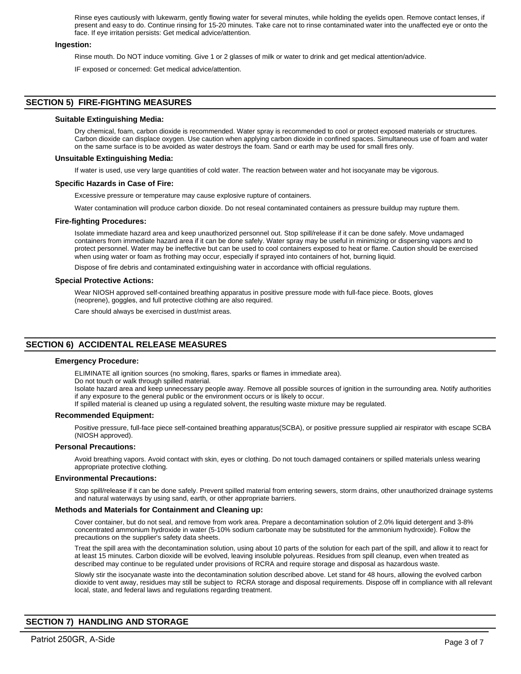Rinse eyes cautiously with lukewarm, gently flowing water for several minutes, while holding the eyelids open. Remove contact lenses, if present and easy to do. Continue rinsing for 15-20 minutes. Take care not to rinse contaminated water into the unaffected eye or onto the face. If eye irritation persists: Get medical advice/attention.

### **Ingestion:**

Rinse mouth. Do NOT induce vomiting. Give 1 or 2 glasses of milk or water to drink and get medical attention/advice.

IF exposed or concerned: Get medical advice/attention.

# **SECTION 5) FIRE-FIGHTING MEASURES**

#### **Suitable Extinguishing Media:**

Dry chemical, foam, carbon dioxide is recommended. Water spray is recommended to cool or protect exposed materials or structures. Carbon dioxide can displace oxygen. Use caution when applying carbon dioxide in confined spaces. Simultaneous use of foam and water on the same surface is to be avoided as water destroys the foam. Sand or earth may be used for small fires only.

#### **Unsuitable Extinguishing Media:**

If water is used, use very large quantities of cold water. The reaction between water and hot isocyanate may be vigorous.

### **Specific Hazards in Case of Fire:**

Excessive pressure or temperature may cause explosive rupture of containers.

Water contamination will produce carbon dioxide. Do not reseal contaminated containers as pressure buildup may rupture them.

#### **Fire-fighting Procedures:**

Isolate immediate hazard area and keep unauthorized personnel out. Stop spill/release if it can be done safely. Move undamaged containers from immediate hazard area if it can be done safely. Water spray may be useful in minimizing or dispersing vapors and to protect personnel. Water may be ineffective but can be used to cool containers exposed to heat or flame. Caution should be exercised when using water or foam as frothing may occur, especially if sprayed into containers of hot, burning liquid.

Dispose of fire debris and contaminated extinguishing water in accordance with official regulations.

#### **Special Protective Actions:**

Wear NIOSH approved self-contained breathing apparatus in positive pressure mode with full-face piece. Boots, gloves (neoprene), goggles, and full protective clothing are also required.

Care should always be exercised in dust/mist areas.

# **SECTION 6) ACCIDENTAL RELEASE MEASURES**

#### **Emergency Procedure:**

ELIMINATE all ignition sources (no smoking, flares, sparks or flames in immediate area).

Do not touch or walk through spilled material.

Isolate hazard area and keep unnecessary people away. Remove all possible sources of ignition in the surrounding area. Notify authorities if any exposure to the general public or the environment occurs or is likely to occur.

If spilled material is cleaned up using a regulated solvent, the resulting waste mixture may be regulated.

#### **Recommended Equipment:**

Positive pressure, full-face piece self-contained breathing apparatus(SCBA), or positive pressure supplied air respirator with escape SCBA (NIOSH approved).

## **Personal Precautions:**

Avoid breathing vapors. Avoid contact with skin, eyes or clothing. Do not touch damaged containers or spilled materials unless wearing appropriate protective clothing.

#### **Environmental Precautions:**

Stop spill/release if it can be done safely. Prevent spilled material from entering sewers, storm drains, other unauthorized drainage systems and natural waterways by using sand, earth, or other appropriate barriers.

### **Methods and Materials for Containment and Cleaning up:**

Cover container, but do not seal, and remove from work area. Prepare a decontamination solution of 2.0% liquid detergent and 3-8% concentrated ammonium hydroxide in water (5-10% sodium carbonate may be substituted for the ammonium hydroxide). Follow the precautions on the supplier's safety data sheets.

Treat the spill area with the decontamination solution, using about 10 parts of the solution for each part of the spill, and allow it to react for at least 15 minutes. Carbon dioxide will be evolved, leaving insoluble polyureas. Residues from spill cleanup, even when treated as described may continue to be regulated under provisions of RCRA and require storage and disposal as hazardous waste.

Slowly stir the isocyanate waste into the decontamination solution described above. Let stand for 48 hours, allowing the evolved carbon dioxide to vent away, residues may still be subject to RCRA storage and disposal requirements. Dispose off in compliance with all relevant local, state, and federal laws and regulations regarding treatment.

# **SECTION 7) HANDLING AND STORAGE**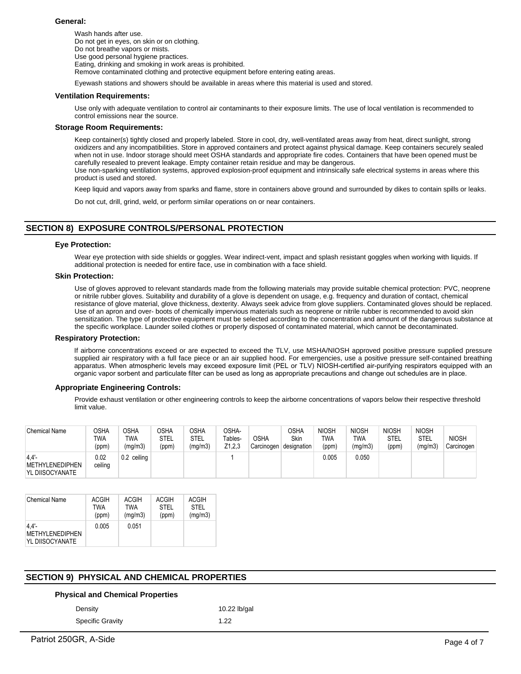### **General:**

Wash hands after use. Do not get in eyes, on skin or on clothing. Do not breathe vapors or mists. Use good personal hygiene practices. Eating, drinking and smoking in work areas is prohibited. Remove contaminated clothing and protective equipment before entering eating areas.

Eyewash stations and showers should be available in areas where this material is used and stored.

#### **Ventilation Requirements:**

Use only with adequate ventilation to control air contaminants to their exposure limits. The use of local ventilation is recommended to control emissions near the source.

#### **Storage Room Requirements:**

Keep container(s) tightly closed and properly labeled. Store in cool, dry, well-ventilated areas away from heat, direct sunlight, strong oxidizers and any incompatibilities. Store in approved containers and protect against physical damage. Keep containers securely sealed when not in use. Indoor storage should meet OSHA standards and appropriate fire codes. Containers that have been opened must be carefully resealed to prevent leakage. Empty container retain residue and may be dangerous. Use non-sparking ventilation systems, approved explosion-proof equipment and intrinsically safe electrical systems in areas where this product is used and stored.

Keep liquid and vapors away from sparks and flame, store in containers above ground and surrounded by dikes to contain spills or leaks.

Do not cut, drill, grind, weld, or perform similar operations on or near containers.

# **SECTION 8) EXPOSURE CONTROLS/PERSONAL PROTECTION**

### **Eye Protection:**

Wear eye protection with side shields or goggles. Wear indirect-vent, impact and splash resistant goggles when working with liquids. If additional protection is needed for entire face, use in combination with a face shield.

# **Skin Protection:**

Use of gloves approved to relevant standards made from the following materials may provide suitable chemical protection: PVC, neoprene or nitrile rubber gloves. Suitability and durability of a glove is dependent on usage, e.g. frequency and duration of contact, chemical resistance of glove material, glove thickness, dexterity. Always seek advice from glove suppliers. Contaminated gloves should be replaced. Use of an apron and over- boots of chemically impervious materials such as neoprene or nitrile rubber is recommended to avoid skin sensitization. The type of protective equipment must be selected according to the concentration and amount of the dangerous substance at the specific workplace. Launder soiled clothes or properly disposed of contaminated material, which cannot be decontaminated.

#### **Respiratory Protection:**

If airborne concentrations exceed or are expected to exceed the TLV, use MSHA/NIOSH approved positive pressure supplied pressure supplied air respiratory with a full face piece or an air supplied hood. For emergencies, use a positive pressure self-contained breathing apparatus. When atmospheric levels may exceed exposure limit (PEL or TLV) NIOSH-certified air-purifying respirators equipped with an organic vapor sorbent and particulate filter can be used as long as appropriate precautions and change out schedules are in place.

## **Appropriate Engineering Controls:**

Provide exhaust ventilation or other engineering controls to keep the airborne concentrations of vapors below their respective threshold limit value.

| <b>Chemical Name</b>                       | OSHA<br>TWA<br>(ppm) | <b>OSHA</b><br>TWA<br>(mg/m3) | <b>OSHA</b><br>STEL<br>(ppm) | OSHA<br>STEL<br>(mg/m3) | OSHA-<br>Tables-<br>Z <sub>1</sub> ,2,3 | <b>OSHA</b><br>Carcinogen | OSHA<br><b>Skin</b><br>designation | <b>NIOSH</b><br><b>TWA</b><br>(ppm) | <b>NIOSH</b><br>TWA<br>(mg/m3) | <b>NIOSH</b><br><b>STEL</b><br>(ppm) | <b>NIOSH</b><br>STEL<br>(mg/m3) | <b>NIOSH</b><br>Carcinogen |
|--------------------------------------------|----------------------|-------------------------------|------------------------------|-------------------------|-----------------------------------------|---------------------------|------------------------------------|-------------------------------------|--------------------------------|--------------------------------------|---------------------------------|----------------------------|
| 4.4'<br>METHYLENEDIPHEN<br>YL DIISOCYANATE | 0.02<br>ceiling      | 0.2 ceiling                   |                              |                         |                                         |                           |                                    | 0.005                               | 0.050                          |                                      |                                 |                            |

| <b>Chemical Name</b>                                  | ACGIH | ACGIH   | <b>ACGIH</b> | <b>ACGIH</b> |
|-------------------------------------------------------|-------|---------|--------------|--------------|
|                                                       | TWA   | TWA     | <b>STEL</b>  | <b>STEL</b>  |
|                                                       | (ppm) | (mg/m3) | (ppm)        | (mg/m3)      |
| $4.4'$ -<br><b>METHYLENEDIPHEN</b><br>YL DIISOCYANATE | 0.005 | 0.051   |              |              |

# **SECTION 9) PHYSICAL AND CHEMICAL PROPERTIES**

## **Physical and Chemical Properties**

Density **10.22 lb/gal** 

Specific Gravity 1.22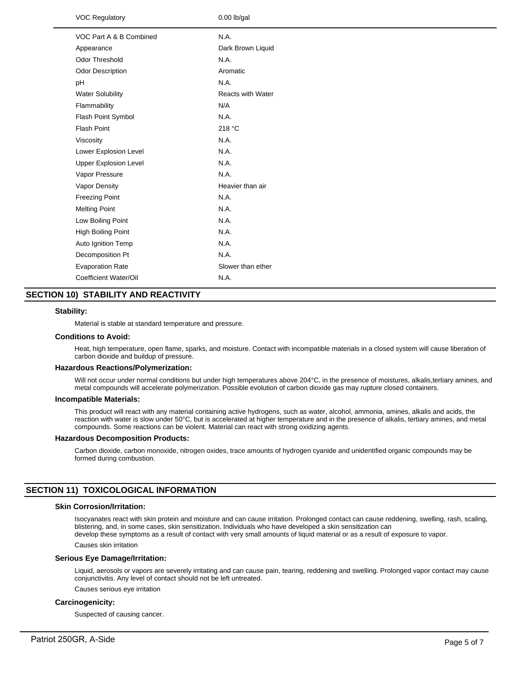| <b>VOC Regulatory</b>        | $0.00$ lb/gal            |
|------------------------------|--------------------------|
| VOC Part A & B Combined      | N.A.                     |
| Appearance                   | Dark Brown Liquid        |
| Odor Threshold               | N.A.                     |
| Odor Description             | Aromatic                 |
| pH                           | N.A.                     |
| <b>Water Solubility</b>      | <b>Reacts with Water</b> |
| Flammability                 | N/A                      |
| Flash Point Symbol           | N.A.                     |
| <b>Flash Point</b>           | 218 °C                   |
| Viscosity                    | N.A.                     |
| Lower Explosion Level        | N.A.                     |
| <b>Upper Explosion Level</b> | N.A.                     |
| Vapor Pressure               | N.A.                     |
| Vapor Density                | Heavier than air         |
| <b>Freezing Point</b>        | N.A.                     |
| <b>Melting Point</b>         | N.A.                     |
| Low Boiling Point            | N.A.                     |
| <b>High Boiling Point</b>    | N.A.                     |
| Auto Ignition Temp           | N.A.                     |
| Decomposition Pt             | N.A.                     |
| <b>Evaporation Rate</b>      | Slower than ether        |
| Coefficient Water/Oil        | N.A.                     |
|                              |                          |

# **SECTION 10) STABILITY AND REACTIVITY**

### **Stability:**

Material is stable at standard temperature and pressure.

#### **Conditions to Avoid:**

Heat, high temperature, open flame, sparks, and moisture. Contact with incompatible materials in a closed system will cause liberation of carbon dioxide and buildup of pressure.

#### **Hazardous Reactions/Polymerization:**

Will not occur under normal conditions but under high temperatures above 204°C, in the presence of moistures, alkalis,tertiary amines, and metal compounds will accelerate polymerization. Possible evolution of carbon dioxide gas may rupture closed containers.

#### **Incompatible Materials:**

This product will react with any material containing active hydrogens, such as water, alcohol, ammonia, amines, alkalis and acids, the reaction with water is slow under 50°C, but is accelerated at higher temperature and in the presence of alkalis, tertiary amines, and metal compounds. Some reactions can be violent. Material can react with strong oxidizing agents.

#### **Hazardous Decomposition Products:**

Carbon dioxide, carbon monoxide, nitrogen oxides, trace amounts of hydrogen cyanide and unidentified organic compounds may be formed during combustion.

# **SECTION 11) TOXICOLOGICAL INFORMATION**

### **Skin Corrosion/Irritation:**

Isocyanates react with skin protein and moisture and can cause irritation. Prolonged contact can cause reddening, swelling, rash, scaling, blistering, and, in some cases, skin sensitization. Individuals who have developed a skin sensitization can develop these symptoms as a result of contact with very small amounts of liquid material or as a result of exposure to vapor.

Causes skin irritation

#### **Serious Eye Damage/Irritation:**

Liquid, aerosols or vapors are severely irritating and can cause pain, tearing, reddening and swelling. Prolonged vapor contact may cause conjunctivitis. Any level of contact should not be left untreated.

Causes serious eye irritation

# **Carcinogenicity:**

Suspected of causing cancer.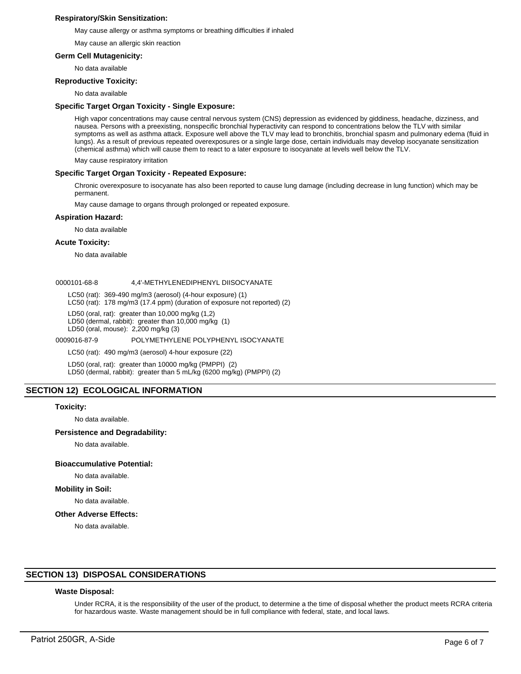# **Respiratory/Skin Sensitization:**

May cause allergy or asthma symptoms or breathing difficulties if inhaled

May cause an allergic skin reaction

### **Germ Cell Mutagenicity:**

No data available

### **Reproductive Toxicity:**

No data available

### **Specific Target Organ Toxicity - Single Exposure:**

High vapor concentrations may cause central nervous system (CNS) depression as evidenced by giddiness, headache, dizziness, and nausea. Persons with a preexisting, nonspecific bronchial hyperactivity can respond to concentrations below the TLV with similar symptoms as well as asthma attack. Exposure well above the TLV may lead to bronchitis, bronchial spasm and pulmonary edema (fluid in lungs). As a result of previous repeated overexposures or a single large dose, certain individuals may develop isocyanate sensitization (chemical asthma) which will cause them to react to a later exposure to isocyanate at levels well below the TLV.

May cause respiratory irritation

### **Specific Target Organ Toxicity - Repeated Exposure:**

Chronic overexposure to isocyanate has also been reported to cause lung damage (including decrease in lung function) which may be permanent.

May cause damage to organs through prolonged or repeated exposure.

### **Aspiration Hazard:**

No data available

### **Acute Toxicity:**

No data available

#### 0000101-68-8 4,4'-METHYLENEDIPHENYL DIISOCYANATE

LC50 (rat): 369-490 mg/m3 (aerosol) (4-hour exposure) (1)

LC50 (rat): 178 mg/m3 (17.4 ppm) (duration of exposure not reported) (2)

LD50 (oral, rat): greater than 10,000 mg/kg (1,2)

LD50 (dermal, rabbit): greater than 10,000 mg/kg (1)

LD50 (oral, mouse): 2,200 mg/kg (3)

0009016-87-9 POLYMETHYLENE POLYPHENYL ISOCYANATE

LC50 (rat): 490 mg/m3 (aerosol) 4-hour exposure (22)

LD50 (oral, rat): greater than 10000 mg/kg (PMPPI) (2) LD50 (dermal, rabbit): greater than 5 mL/kg (6200 mg/kg) (PMPPI) (2)

# **SECTION 12) ECOLOGICAL INFORMATION**

#### **Toxicity:**

No data available.

#### **Persistence and Degradability:**

No data available.

#### **Bioaccumulative Potential:**

# No data available.

**Mobility in Soil:**

No data available.

## **Other Adverse Effects:**

No data available.

# **SECTION 13) DISPOSAL CONSIDERATIONS**

#### **Waste Disposal:**

Under RCRA, it is the responsibility of the user of the product, to determine a the time of disposal whether the product meets RCRA criteria for hazardous waste. Waste management should be in full compliance with federal, state, and local laws.